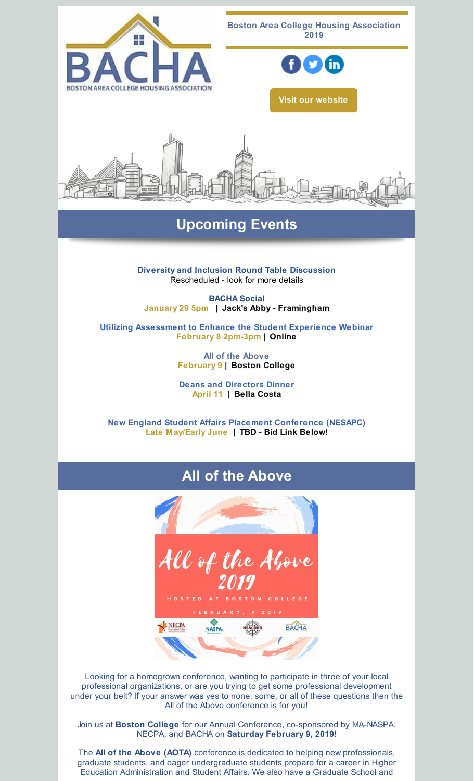

# **Upcoming Events**

**Diversity and Inclusion Round Table Discussion** Rescheduled - look for more details

**BACHA Social January 29 5pm | Jack's Abby - Framingham**

**Utilizing Assessment to Enhance the Student Experience Webinar February 8 2pm-3pm | Online**

> **All of the [Above](http://events.constantcontact.com/register/event?llr=vserd4zab&oeidk=a07efsm9nkt8b10cd0e) February 9 | Boston College**

> **Deans and Directors Dinner April 11 | Bella Costa**

**New England Student Affairs Placement Conference (NESAPC) Late May/Early June | TBD - Bid Link Below!**

## **All of the Above**



Looking for a homegrown conference, wanting to participate in three of your local professional organizations, or are you trying to get some professional development under your belt? If your answer was yes to none, some, or all of these questions then the All of the Above conference is for you!

Join us at **Boston College** for our Annual Conference, co-sponsored by MA-NASPA, NECPA, and BACHA on **Saturday February 9, 2019!**

The **All of the Above (AOTA)** conference is dedicated to helping new professionals, graduate students, and eager undergraduate students prepare for a career in Higher Education Administration and Student Affairs. We also have a Graduate School and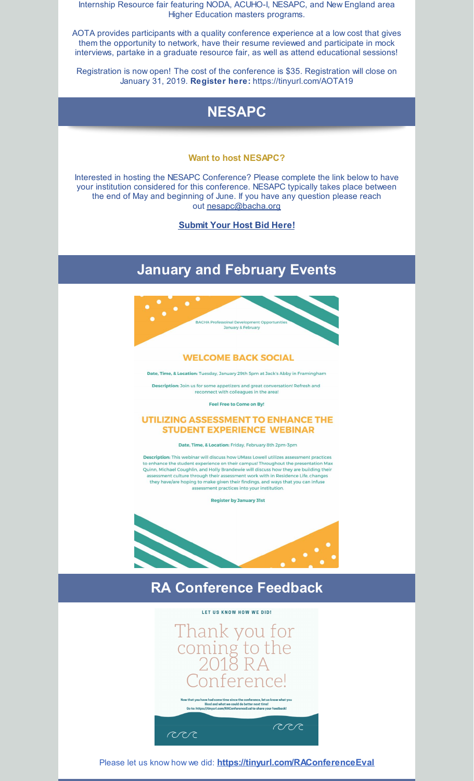Internship Resource fair featuring NODA, ACUHO-I, NESAPC, and New England area Higher Education masters programs.

AOTA provides participants with a quality conference experience at a low cost that gives them the opportunity to network, have their resume reviewed and participate in mock interviews, partake in a graduate resource fair, as well as attend educational sessions!

Registration is now open! The cost of the conference is \$35. Registration will close on January 31, 2019. **Register here:** [https://tinyurl.com/AOTA19](http://events.constantcontact.com/register/event?llr=vserd4zab&oeidk=a07efsm9nkt8b10cd0e)



#### **Want to host NESAPC?**

Interested in hosting the NESAPC Conference? Please complete the link below to have your institution considered for this conference. NESAPC typically takes place between the end of May and beginning of June. If you have any question please reach out [nesapc@bacha.org](mailto:nesapc@bacha.org)

**[Submit](https://docs.google.com/forms/d/e/1FAIpQLSfJY88_BMCNDXXnftq6r6Q29cKK00jvlxM_7Gvd-RRBZaLixA/viewform?usp=sf_link) Your Host Bid Here!**

## **January and February Events**



#### **WELCOME BACK SOCIAL**

Date, Time, & Location: Tuesday, January 29th 5pm at Jack's Abby in Framingham

Description: Join us for some appetizers and great conversation! Refresh and reconnect with colleagues in the area!

Feel Free to Come on By!

#### **UTILIZING ASSESSMENT TO ENHANCE THE STUDENT EXPERIENCE WEBINAR**

Date, Time, & Location: Friday, February 8th 2pm-3pm

**Description:** This webinar will discuss how UMass Lowell utilizes assessment practices Statement Throughout the presentation Max<br>Quinn, Michael Coughlin, and Holly Brandewie will discuss how they are building their<br>Quinn, Michael Coughlin, and Holly Brandewie will discuss how they are building their assessment culture through their assessment work with in Residence Life, changes<br>assessment culture through their assessment work with in Residence Life, changes<br>they have/are hoping to make given their findings, and ways assessment practices into your institution.

**Register by January 31st** 



## **RA Conference Feedback**

LET US KNOW HOW WE DID!



Please let us know how we did: **<https://tinyurl.com/RAConferenceEval>**